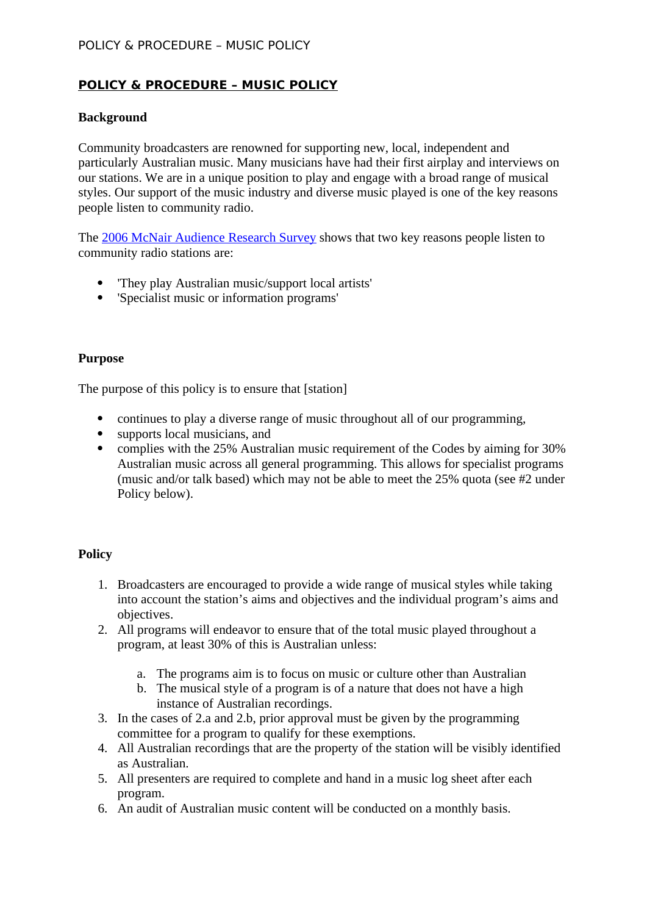### POLICY & PROCEDURE – MUSIC POLICY

## **POLICY & PROCEDURE – MUSIC POLICY**

### **Background**

Community broadcasters are renowned for supporting new, local, independent and particularly Australian music. Many musicians have had their first airplay and interviews on our stations. We are in a unique position to play and engage with a broad range of musical styles. Our support of the music industry and diverse music played is one of the key reasons people listen to community radio.

The [2006 McNair Audience Research Survey](http://www.cbonline.org.au/index.cfm?pageId=44,149,3,1584) shows that two key reasons people listen to community radio stations are:

- 'They play Australian music/support local artists'
- 'Specialist music or information programs'

#### **Purpose**

The purpose of this policy is to ensure that [station]

- continues to play a diverse range of music throughout all of our programming,
- supports local musicians, and
- complies with the 25% Australian music requirement of the Codes by aiming for 30% Australian music across all general programming. This allows for specialist programs (music and/or talk based) which may not be able to meet the 25% quota (see #2 under Policy below).

#### **Policy**

- 1. Broadcasters are encouraged to provide a wide range of musical styles while taking into account the station's aims and objectives and the individual program's aims and objectives.
- 2. All programs will endeavor to ensure that of the total music played throughout a program, at least 30% of this is Australian unless:
	- a. The programs aim is to focus on music or culture other than Australian
	- b. The musical style of a program is of a nature that does not have a high instance of Australian recordings.
- 3. In the cases of 2.a and 2.b, prior approval must be given by the programming committee for a program to qualify for these exemptions.
- 4. All Australian recordings that are the property of the station will be visibly identified as Australian.
- 5. All presenters are required to complete and hand in a music log sheet after each program.
- 6. An audit of Australian music content will be conducted on a monthly basis.